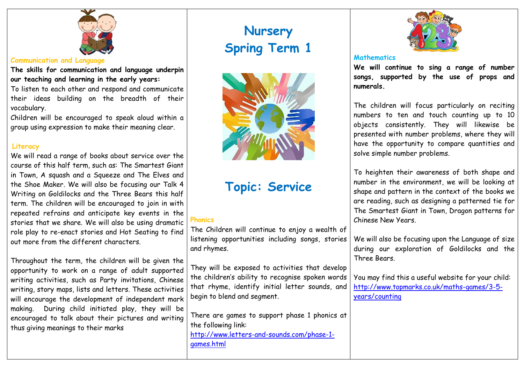

#### **Communication and Language**

**The skills for communication and language underpin our teaching and learning in the early years:**

To listen to each other and respond and communicate their ideas building on the breadth of their vocabulary.

Children will be encouraged to speak aloud within a group using expression to make their meaning clear.

## **Literacy**

We will read a range of books about service over the course of this half term, such as: The Smartest Giant in Town, A squash and a Squeeze and The Elves and the Shoe Maker. We will also be focusing our Talk 4 Writing on Goldilocks and the Three Bears this half term. The children will be encouraged to join in with repeated refrains and anticipate key events in the stories that we share. We will also be using dramatic role play to re-enact stories and Hot Seating to find out more from the different characters.

Throughout the term, the children will be given the opportunity to work on a range of adult supported writing activities, such as Party invitations, Chinese writing, story maps, lists and letters. These activities will encourage the development of independent mark making. During child initiated play, they will be encouraged to talk about their pictures and writing thus giving meanings to their marks

# **Nursery Spring Term 1**



# **Topic: Service**

# **Phonics**

The Children will continue to enjoy a wealth of listening opportunities including songs, stories and rhymes.

They will be exposed to activities that develop the children's ability to recognise spoken words that rhyme, identify initial letter sounds, and begin to blend and segment.

There are games to support phase 1 phonics at the following link: [http://www.letters-and-sounds.com/phase-1](http://www.letters-and-sounds.com/phase-1-games.html) [games.html](http://www.letters-and-sounds.com/phase-1-games.html)



# **Mathematics**

**We will continue to sing a range of number songs, supported by the use of props and numerals.** 

The children will focus particularly on reciting numbers to ten and touch counting up to 10 objects consistently. They will likewise be presented with number problems, where they will have the opportunity to compare quantities and solve simple number problems.

To heighten their awareness of both shape and number in the environment, we will be looking at shape and pattern in the context of the books we are reading, such as designing a patterned tie for The Smartest Giant in Town, Dragon patterns for Chinese New Years.

We will also be focusing upon the Language of size during our exploration of Goldilocks and the Three Bears.

You may find this a useful website for your child: [http://www.topmarks.co.uk/maths-games/3-5](http://www.topmarks.co.uk/maths-games/3-5-years/counting) [years/counting](http://www.topmarks.co.uk/maths-games/3-5-years/counting)